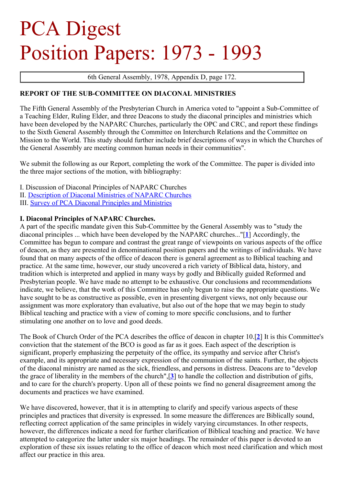# <span id="page-0-0"></span>PCA Digest Position Papers: 1973 - 1993

6th General Assembly, 1978, Appendix D, page 172.

## **REPORT OF THE SUB-COMMITTEE ON DIACONAL MINISTRIES**

The Fifth General Assembly of the Presbyterian Church in America voted to "appoint a Sub-Committee of a Teaching Elder, Ruling Elder, and three Deacons to study the diaconal principles and ministries which have been developed by the NAPARC Churches, particularly the OPC and CRC, and report these findings to the Sixth General Assembly through the Committee on Interchurch Relations and the Committee on Mission to the World. This study should further include brief descriptions of ways in which the Churches of the General Assembly are meeting common human needs in their communities".

We submit the following as our Report, completing the work of the Committee. The paper is divided into the three major sections of the motion, with bibliography:

- I. Discussion of Diaconal Principles of NAPARC Churches
- II. [Description](#page-0-0) of Diaconal Ministries of NAPARC Churches
- III. Survey of PCA Diaconal [Principles](#page-0-0) and Ministries

# **I. Diaconal Principles of NAPARC Churches.**

A part of the specific mandate given this Sub-Committee by the General Assembly was to "study the diaconal principles ... which have been developed by the NAPARC churches..."[**[1](#page-16-0)**] Accordingly, the Committee has begun to compare and contrast the great range of viewpoints on various aspects of the office of deacon, as they are presented in denominational position papers and the writings of individuals. We have found that on many aspects of the office of deacon there is general agreement as to Biblical teaching and practice. At the same time, however, our study uncovered a rich variety of Biblical data, history, and tradition which is interpreted and applied in many ways by godly and Biblically guided Reformed and Presbyterian people. We have made no attempt to be exhaustive. Our conclusions and recommendations indicate, we believe, that the work of this Committee has only begun to raise the appropriate questions. We have sought to be as constructive as possible, even in presenting divergent views, not only because our assignment was more exploratory than evaluative, but also out of the hope that we may begin to study Biblical teaching and practice with a view of coming to more specific conclusions, and to further stimulating one another on to love and good deeds.

The Book of Church Order of the PCA describes the office of deacon in chapter 10.[**[2](#page-16-1)**] It is this Committee's conviction that the statement of the BCO is good as far as it goes. Each aspect of the description is significant, properly emphasizing the perpetuity of the office, its sympathy and service after Christ's example, and its appropriate and necessary expression of the communion of the saints. Further, the objects of the diaconal ministry are named as the sick, friendless, and persons in distress. Deacons are to "develop the grace of liberality in the members of the church",[**[3](#page-16-2)**] to handle the collection and distribution of gifts, and to care for the church's property. Upon all of these points we find no general disagreement among the documents and practices we have examined.

We have discovered, however, that it is in attempting to clarify and specify various aspects of these principles and practices that diversity is expressed. In some measure the differences are Biblically sound, reflecting correct application of the same principles in widely varying circumstances. In other respects, however, the differences indicate a need for further clarification of Biblical teaching and practice. We have attempted to categorize the latter under six major headings. The remainder of this paper is devoted to an exploration of these six issues relating to the office of deacon which most need clarification and which most affect our practice in this area.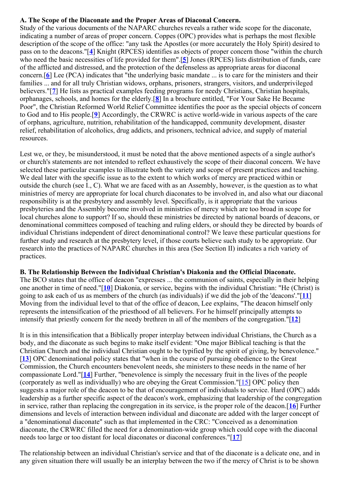# **A. The Scope of the Diaconate and the Proper Areas of Diaconal Concern.**

Study of the various documents of the NAPARC churches reveals a rather wide scope for the diaconate, indicating a number of areas of proper concern. Coppes (OPC) provides what is perhaps the most flexible description of the scope of the office: "any task the Apostles (or more accurately the Holy Spirit) desired to pass on to the deacons."[**[4](#page-16-3)**] Knight (RPCES) identifies as objects of proper concern those "within the church who need the basic necessities of life provided for them".[**[5](#page-16-4)**] Jones (RPCES) lists distribution of funds, care of the afflicted and distressed, and the protection of the defenseless as appropriate areas for diaconal concern.[**[6](#page-16-5)**] Lee (PCA) indicates that "the underlying basic mandate ... is to care for the ministers and their families ... and for all truly Christian widows, orphans, prisoners, strangers, visitors, and underprivileged believers."[**[7](#page-16-6)**] He lists as practical examples feeding programs for needy Christians, Christian hospitals, orphanages, schools, and homes for the elderly.[**[8](#page-16-7)**] In a brochure entitled, "For Your Sake He Became Poor", the Christian Reformed World Relief Committee identifies the poor as the special objects of concern to God and to His people.[**[9](#page-16-8)**] Accordingly, the CRWRC is active world-wide in various aspects of the care of orphans, agriculture, nutrition, rehabilitation of the handicapped, community development, disaster relief, rehabilitation of alcoholics, drug addicts, and prisoners, technical advice, and supply of material resources.

Lest we, or they, be misunderstood, it must be noted that the above mentioned aspects of a single author's or church's statements are not intended to reflect exhaustively the scope of their diaconal concern. We have selected these particular examples to illustrate both the variety and scope of present practices and teaching. We deal later with the specific issue as to the extent to which works of mercy are practiced within or outside the church (see I., C). What we are faced with as an Assembly, however, is the question as to what ministries of mercy are appropriate for local church diaconates to be involved in, and also what our diaconal responsibility is at the presbytery and assembly level. Specifically, is it appropriate that the various presbyteries and the Assembly become involved in ministries of mercy which are too broad in scope for local churches alone to support? If so, should these ministries be directed by national boards of deacons, or denominational committees composed of teaching and ruling elders, or should they be directed by boards of individual Christians independent of direct denominational control? We leave these particular questions for further study and research at the presbytery level, if those courts believe such study to be appropriate. Our research into the practices of NAPARC churches in this area (See Section II) indicates a rich variety of practices.

## **B. The Relationship Between the Individual Christian's Diakonia and the Official Diaconate.**

The BCO states that the office of deacon "expresses ... the communion of saints, especially in their helping one another in time of need."[**[10](#page-16-9)**] Diakonia, or service, begins with the individual Christian: "He (Christ) is going to ask each of us as members of the church (as individuals) if we did the job of the 'deacons'."[**[11](#page-16-10)**] Moving from the individual level to that of the office of deacon, Lee explains, "The deacon himself only represents the intensification of the priesthood of all believers. For he himself principally attempts to intensify that priestly concern for the needy brethren in all of the members of the congregation."[**[12](#page-16-11)**]

It is in this intensification that a Biblically proper interplay between individual Christians, the Church as a body, and the diaconate as such begins to make itself evident: "One major Biblical teaching is that the Christian Church and the individual Christian ought to be typified by the spirit of giving, by benevolence." [[13](#page-16-12)] OPC denominational policy states that "when in the course of pursuing obedience to the Great Commission, the Church encounters benevolent needs, she ministers to these needs in the name of her compassionate Lord."[**[14](#page-16-13)**] Further, "benevolence is simply the necessary fruit in the lives of the people (corporately as well as individually) who are obeying the Great Commission."[\[15](#page-16-14)] OPC policy then suggests a major role of the deacon to be that of encouragement of individuals to service. Hard (OPC) adds leadership as a further specific aspect of the deacon's work, emphasizing that leadership of the congregation in service, rather than replacing the congregation in its service, is the proper role of the deacon.[**[16](#page-16-15)**] Further dimensions and levels of interaction between individual and diaconate are added with the larger concept of a "denominational diaconate" such as that implemented in the CRC: "Conceived as a denomination diaconate, the CRWRC filled the need for a denomination-wide group which could cope with the diaconal needs too large or too distant for local diaconates or diaconal conferences."[**[17](#page-16-16)**]

The relationship between an individual Christian's service and that of the diaconate is a delicate one, and in any given situation there will usually be an interplay between the two if the mercy of Christ is to be shown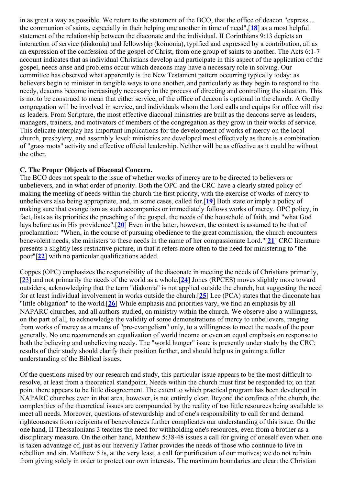in as great a way as possible. We return to the statement of the BCO, that the office of deacon "express ... the communion of saints, especially in their helping one another in time of need",[**[18](#page-16-17)**] as a most helpful statement of the relationship between the diaconate and the individual. II Corinthians 9:13 depicts an interaction of service (diakonia) and fellowship (koinonia), typified and expressed by a contribution, all as an expression of the confession of the gospel of Christ, from one group of saints to another. The Acts 6:1-7 account indicates that as individual Christians develop and participate in this aspect of the application of the gospel, needs arise and problems occur which deacons may have a necessary role in solving. Our committee has observed what apparently is the New Testament pattern occurring typically today: as believers begin to minister in tangible ways to one another, and particularly as they begin to respond to the needy, deacons become increasingly necessary in the process of directing and controlling the situation. This is not to be construed to mean that either service, of the office of deacon is optional in the church. A Godly congregation will be involved in service, and individuals whom the Lord calls and equips for office will rise as leaders. From Scripture, the most effective diaconal ministries are built as the deacons serve as leaders, managers, trainers, and motivators of members of the congregation as they grow in their works of service. This delicate interplay has important implications for the development of works of mercy on the local church, presbytery, and assembly level: ministries are developed most effectively as there is a combination of "grass roots" activity and effective official leadership. Neither will be as effective as it could be without the other.

## **C. The Proper Objects of Diaconal Concern.**

The BCO does not speak to the issue of whether works of mercy are to be directed to believers or unbelievers, and in what order of priority. Both the OPC and the CRC have a clearly stated policy of making the meeting of needs within the church the first priority, with the exercise of works of mercy to unbelievers also being appropriate, and, in some cases, called for.[**[19](#page-16-18)**] Both state or imply a policy of making sure that evangelism as such accompanies or immediately follows works of mercy. OPC policy, in fact, lists as its priorities the preaching of the gospel, the needs of the household of faith, and "what God lays before us in His providence".[**[20](#page-16-19)**] Even in the latter, however, the context is assumed to be that of proclamation: "When, in the course of pursuing obedience to the great commission, the church encounters benevolent needs, she ministers to these needs in the name of her compassionate Lord."[**[21](#page-16-20)**] CRC literature presents a slightly less restrictive picture, in that it refers more often to the need for ministering to "the poor"[**[22](#page-16-21)**] with no particular qualifications added.

Coppes (OPC) emphasizes the responsibility of the diaconate in meeting the needs of Christians primarily, [\[23](#page-16-22)] and not primarily the needs of the world as a whole.[**[24](#page-16-23)**] Jones (RPCES) moves slightly more toward outsiders, acknowledging that the term "diakonia" is not applied outside the church, but suggesting the need for at least individual involvement in works outside the church.[**[25](#page-16-24)**] Lee (PCA) states that the diaconate has "little obligation" to the world.[**[26](#page-16-25)**] While emphasis and priorities vary, we find an emphasis by all NAPARC churches, and all authors studied, on ministry within the church. We observe also a willingness, on the part of all, to acknowledge the validity of some demonstrations of mercy to unbelievers, ranging from works of mercy as a means of "pre-evangelism" only, to a willingness to meet the needs of the poor generally. No one recommends an equalization of world income or even an equal emphasis on response to both the believing and unbelieving needy. The "world hunger" issue is presently under study by the CRC; results of their study should clarify their position further, and should help us in gaining a fuller understanding of the Biblical issues.

Of the questions raised by our research and study, this particular issue appears to be the most difficult to resolve, at least from a theoretical standpoint. Needs within the church must first be responded to; on that point there appears to be little disagreement. The extent to which practical program has been developed in NAPARC churches even in that area, however, is not entirely clear. Beyond the confines of the church, the complexities of the theoretical issues are compounded by the reality of too little resources being available to meet all needs. Moreover, questions of stewardship and of one's responsibility to call for and demand righteousness from recipients of benevolences further complicates our understanding of this issue. On the one hand, II Thessalonians 3 teaches the need for withholding one's resources, even from a brother as a disciplinary measure. On the other hand, Matthew 5:38-48 issues a call for giving of oneself even when one is taken advantage of, just as our heavenly Father provides the needs of those who continue to live in rebellion and sin. Matthew 5 is, at the very least, a call for purification of our motives; we do not refrain from giving solely in order to protect our own interests. The maximum boundaries are clear: the Christian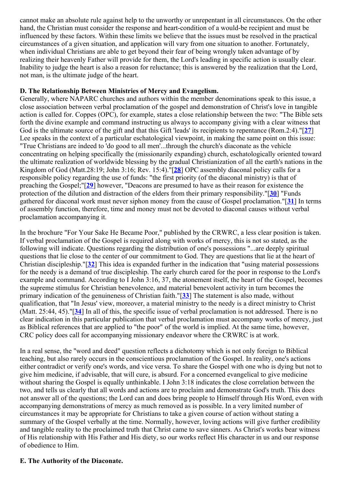cannot make an absolute rule against help to the unworthy or unrepentant in all circumstances. On the other hand, the Christian must consider the response and heart-condition of a would-be recipient and must be influenced by these factors. Within these limits we believe that the issues must be resolved in the practical circumstances of a given situation, and application will vary from one situation to another. Fortunately, when individual Christians are able to get beyond their fear of being wrongly taken advantage of by realizing their heavenly Father will provide for them, the Lord's leading in specific action is usually clear. Inability to judge the heart is also a reason for reluctance; this is answered by the realization that the Lord, not man, is the ultimate judge of the heart.

## **D. The Relationship Between Ministries of Mercy and Evangelism.**

Generally, where NAPARC churches and authors within the member denominations speak to this issue, a close association between verbal proclamation of the gospel and demonstration of Christ's love in tangible action is called for. Coppes (OPC), for example, states a close relationship between the two: "The Bible sets forth the divine example and command instructing us always to accompany giving with a clear witness that God is the ultimate source of the gift and that this Gift 'leads' its recipients to repentance (Rom.2:4)."[**[27](#page-16-26)**] Lee speaks in the context of a particular eschatological viewpoint, in making the same point on this issue: "True Christians are indeed to 'do good to all men'...through the church's diaconate as the vehicle concentrating on helping specifically the (missionarily expanding) church, eschatologically oriented toward the ultimate realization of worldwide blessing by the gradual Christianization of all the earth's nations in the Kingdom of God (Matt.28:19; John 3:16; Rev. 15:4)."[**[28](#page-16-27)**] OPC assembly diaconal policy calls for a responsible policy regarding the use of funds: "the first priority (of the diaconal ministry) is that of preaching the Gospel;"[**[29](#page-16-28)**] however, "Deacons are presumed to have as their reason for existence the protection of the dilution and distraction of the elders from their primary responsibility."[**[30](#page-16-29)**] "Funds gathered for diaconal work must never siphon money from the cause of Gospel proclamation."[**[31](#page-16-30)**] In terms of assembly function, therefore, time and money must not be devoted to diaconal causes without verbal proclamation accompanying it.

In the brochure "For Your Sake He Became Poor," published by the CRWRC, a less clear position is taken. If verbal proclamation of the Gospel is required along with works of mercy, this is not so stated, as the following will indicate. Questions regarding the distribution of one's possessions "...are deeply spiritual questions that lie close to the center of our commitment to God. They are questions that lie at the heart of Christian discipleship."[**[32](#page-16-31)**] This idea is expanded further in the indication that "using material possessions for the needy is a demand of true discipleship. The early church cared for the poor in response to the Lord's example and command. According to I John 3:16, 37, the atonement itself, the heart of the Gospel, becomes the supreme stimulus for Christian benevolence, and material benevolent activity in turn becomes the primary indication of the genuineness of Christian faith."[**[33](#page-16-32)**] The statement is also made, without qualification, that "In Jesus' view, moreover, a material ministry to the needy is a direct ministry to Christ (Matt. 25:44, 45)."[**[34](#page-16-33)**] In all of this, the specific issue of verbal proclamation is not addressed. There is no clear indication in this particular publication that verbal proclamation must accompany works of mercy, just as Biblical references that are applied to "the poor" of the world is implied. At the same time, however, CRC policy does call for accompanying missionary endeavor where the CRWRC is at work.

In a real sense, the "word and deed" question reflects a dichotomy which is not only foreign to Biblical teaching, but also rarely occurs in the conscientious proclamation of the Gospel. In reality, one's actions either contradict or verify one's words, and vice versa. To share the Gospel with one who is dying but not to give him medicine, if advisable, that will cure, is absurd. For a concerned evangelical to give medicine without sharing the Gospel is equally unthinkable. I John 3:18 indicates the close correlation between the two, and tells us clearly that all words and actions are to proclaim and demonstrate God's truth. This does not answer all of the questions; the Lord can and does bring people to Himself through His Word, even with accompanying demonstrations of mercy as much removed as is possible. In a very limited number of circumstances it may be appropriate for Christians to take a given course of action without stating a summary of the Gospel verbally at the time. Normally, however, loving actions will give further credibility and tangible reality to the proclaimed truth that Christ came to save sinners. As Christ's works bear witness of His relationship with His Father and His diety, so our works reflect His character in us and our response of obedience to Him.

## **E. The Authority of the Diaconate.**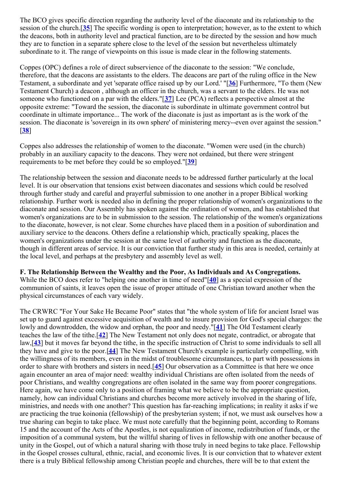The BCO gives specific direction regarding the authority level of the diaconate and its relationship to the session of the church.[**[35](#page-16-34)**] The specific wording is open to interpretation; however, as to the extent to which the deacons, both in authority level and practical function, are to be directed by the session and how much they are to function in a separate sphere close to the level of the session but nevertheless ultimately subordinate to it. The range of viewpoints on this issue is made clear in the following statements.

Coppes (OPC) defines a role of direct subservience of the diaconate to the session: "We conclude, therefore, that the deacons are assistants to the elders. The deacons are part of the ruling office in the New Testament, a subordinate and yet 'separate office raised up by our Lord.' "[**[36](#page-16-35)**] Furthermore, "To them (New Testament Church) a deacon , although an officer in the church, was a servant to the elders. He was not someone who functioned on a par with the elders."[**[37](#page-16-36)**] Lee (PCA) reflects a perspective almost at the opposite extreme: "Toward the session, the diaconate is subordinate in ultimate government control but coordinate in ultimate importance... The work of the diaconate is just as important as is the work of the session. The diaconate is 'sovereign in its own sphere' of ministering mercy--even over against the session." [**[38](#page-16-37)**]

Coppes also addresses the relationship of women to the diaconate. "Women were used (in the church) probably in an auxiliary capacity to the deacons. They were not ordained, but there were stringent requirements to be met before they could be so employed."[**[39](#page-16-38)**]

The relationship between the session and diaconate needs to be addressed further particularly at the local level. It is our observation that tensions exist between diaconates and sessions which could be resolved through further study and careful and prayerful submission to one another in a proper Biblical working relationship. Further work is needed also in defining the proper relationship of women's organizations to the diaconate and session. Our Assembly has spoken against the ordination of women, and has established that women's organizations are to be in submission to the session. The relationship of the women's organizations to the diaconate, however, is not clear. Some churches have placed them in a position of subordination and auxiliary service to the deacons. Others define a relationship which, practically speaking, places the women's organizations under the session at the same level of authority and function as the diaconate, though in different areas of service. It is our conviction that further study in this area is needed, certainly at the local level, and perhaps at the presbytery and assembly level as well.

#### **F. The Relationship Between the Wealthy and the Poor, As Individuals and As Congregations.**

While the BCO does refer to "helping one another in time of need"[**[40](#page-16-39)**] as a special expression of the communion of saints, it leaves open the issue of proper attitude of one Christian toward another when the physical circumstances of each vary widely.

The CRWRC "For Your Sake He Became Poor" states that "the whole system of life for ancient Israel was set up to guard against excessive acquisition of wealth and to insure provision for God's special charges: the lowly and downtrodden, the widow and orphan, the poor and needy."[**[41](#page-17-0)**] The Old Testament clearly teaches the law of the tithe.[**[42](#page-17-1)**] The New Testament not only does not negate, contradict, or abrogate that law,[**[43](#page-17-2)**] but it moves far beyond the tithe, in the specific instruction of Christ to some individuals to sell all they have and give to the poor.[**[44](#page-17-3)**] The New Testament Church's example is particularly compelling, with the willingness of its members, even in the midst of troublesome circumstances, to part with possessions in order to share with brothers and sisters in need.[**[45](#page-17-4)**] Our observation as a Committee is that here we once again encounter an area of major need: wealthy individual Christians are often isolated from the needs of poor Christians, and wealthy congregations are often isolated in the same way from poorer congregations. Here again, we have come only to a position of framing what we believe to be the appropriate question, namely, how can individual Christians and churches become more actively involved in the sharing of life, ministries, and needs with one another? This question has far-reaching implications; in reality it asks if we are practicing the true koinonia (fellowship) of the presbyterian system; if not, we must ask ourselves how a true sharing can begin to take place. We must note carefully that the beginning point, according to Romans 15 and the account of the Acts of the Apostles, is not equalization of income, redistribution of funds, or the imposition of a communal system, but the willful sharing of lives in fellowship with one another because of unity in the Gospel, out of which a natural sharing with those truly in need begins to take place. Fellowship in the Gospel crosses cultural, ethnic, racial, and economic lives. It is our conviction that to whatever extent there is a truly Biblical fellowship among Christian people and churches, there will be to that extent the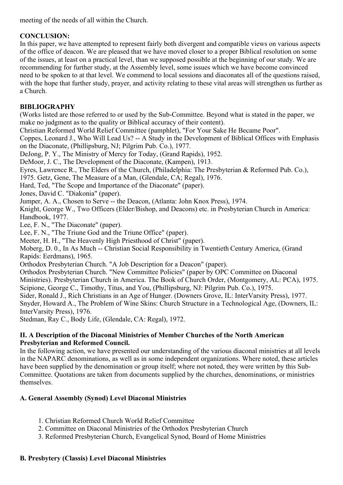meeting of the needs of all within the Church.

# **CONCLUSION:**

In this paper, we have attempted to represent fairly both divergent and compatible views on various aspects of the office of deacon. We are pleased that we have moved closer to a proper Biblical resolution on some of the issues, at least on a practical level, than we supposed possible at the beginning of our study. We are recommending for further study, at the Assembly level, some issues which we have become convinced need to be spoken to at that level. We commend to local sessions and diaconates all of the questions raised, with the hope that further study, prayer, and activity relating to these vital areas will strengthen us further as a Church.

# **BIBLIOGRAPHY**

(Works listed are those referred to or used by the Sub-Committee. Beyond what is stated in the paper, we make no judgment as to the quality or Biblical accuracy of their content).

Christian Reformed World Relief Committee (pamphlet), "For Your Sake He Became Poor".

Coppes, Leonard J., Who Will Lead Us? -- A Study in the Development of Biblical Offices with Emphasis on the Diaconate, (Phillipsburg, NJ; Pilgrim Pub. Co.), 1977.

DeJong, P. Y., The Ministry of Mercy for Today, (Grand Rapids), 1952.

DeMoor, J. C., The Development of the Diaconate, (Kampen), 1913.

Eyres, Lawrence R., The Elders of the Church, (Philadelphia: The Presbyterian & Reformed Pub. Co.),

1975. Getz, Gene, The Measure of a Man, (Glendale, CA; Regal), 1976.

Hard, Ted, "The Scope and Importance of the Diaconate" (paper).

Jones, David C. "Diakonia" (paper).

Jumper, A. A., Chosen to Serve -- the Deacon, (Atlanta: John Knox Press), 1974.

Knight, George W., Two Officers (Elder/Bishop, and Deacons) etc. in Presbyterian Church in America: Handbook, 1977.

Lee, F. N., "The Diaconate" (paper).

Lee, F. N., "The Triune God and the Triune Office" (paper).

Meeter, H. H., "The Heavenly High Priesthood of Christ" (paper).

Moberg, D. 0., In As Much -- Christian Social Responsibility in Twentieth Century America, (Grand Rapids: Eerdmans), 1965.

Orthodox Presbyterian Church. "A Job Description for a Deacon" (paper).

Orthodox Presbyterian Church. "New Committee Policies" (paper by OPC Committee on Diaconal

Ministries). Presbyterian Church in America. The Book of Church Order, (Montgomery, AL: PCA), 1975. Scipione, George C., Timothy, Titus, and You, (Phillipsburg, NJ: Pilgrim Pub. Co.), 1975.

Sider, Ronald J., Rich Christians in an Age of Hunger. (Downers Grove, IL: InterVarsity Press), 1977. Snyder, Howard A., The Problem of Wine Skins: Church Structure in a Technological Age, (Downers, IL: InterVarsity Press), 1976.

Stedman, Ray C., Body Life, (Glendale, CA: Regal), 1972.

# **II. A Description of the Diaconal Ministries of Member Churches of the North American Presbyterian and Reformed Council.**

In the following action, we have presented our understanding of the various diaconal ministries at all levels in the NAPARC denominations, as well as in some independent organizations. Where noted, these articles have been supplied by the denomination or group itself; where not noted, they were written by this Sub-Committee. Quotations are taken from documents supplied by the churches, denominations, or ministries themselves.

# **A. General Assembly (Synod) Level Diaconal Ministries**

- 1. Christian Reformed Church World Relief Committee
- 2. Committee on Diaconal Ministries of the Orthodox Presbyterian Church
- 3. Reformed Presbyterian Church, Evangelical Synod, Board of Home Ministries

# **B. Presbytery (Classis) Level Diaconal Ministries**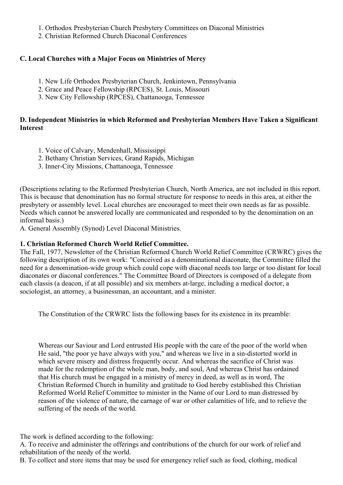- 1. Orthodox Presbyterian Church Presbytery Committees on Diaconal Ministries
- 2. Christian Reformed Church Diaconal Conferences

# **C. Local Churches with a Major Focus on Ministries of Mercy**

- 1. New Life Orthodox Presbyterian Church, Jenkintown, Pennsylvania
- 2. Grace and Peace Fellowship (RPCES), St. Louis, Missouri
- 3. New City Fellowship (RPCES), Chattanooga, Tennessee

# **D. Independent Ministries in which Reformed and Presbyterian Members Have Taken a Significant Interest**

- 1. Voice of Calvary, Mendenhall, Mississippi
- 2. Bethany Christian Services, Grand Rapids, Michigan
- 3. Inner-City Missions, Chattanooga, Tennessee

(Descriptions relating to the Reformed Presbyterian Church, North America, are not included in this report. This is because that denomination has no formal structure for response to needs in this area, at either the presbytery or assembly level. Local churches are encouraged to meet their own needs as far as possible. Needs which cannot be answered locally are communicated and responded to by the denomination on an informal basis.)

A. General Assembly (Synod) Level Diaconal Ministries.

## **1. Christian Reformed Church World Relief Committee.**

The Fall, 1977, Newsletter of the Christian Reformed Church World Relief Committee (CRWRC) gives the following description of its own work: "Conceived as a denominational diaconate, the Committee filled the need for a denomination-wide group which could cope with diaconal needs too large or too distant for local diaconates or diaconal conferences." The Committee Board of Directors is composed of a delegate from each classis (a deacon, if at all possible) and six members at-large, including a medical doctor, a sociologist, an attorney, a businessman, an accountant, and a minister.

The Constitution of the CRWRC lists the following bases for its existence in its preamble:

Whereas our Saviour and Lord entrusted His people with the care of the poor of the world when He said, "the poor ye have always with you," and whereas we live in a sin-distorted world in which severe misery and distress frequently occur. And whereas the sacrifice of Christ was made for the redemption of the whole man, body, and soul, And whereas Christ has ordained that His church must be engaged in a ministry of mercy in deed, as well as in word, The Christian Reformed Church in humility and gratitude to God hereby established this Christian Reformed World Relief Committee to minister in the Name of our Lord to man distressed by reason of the violence of nature, the carnage of war or other calamities of life, and to relieve the suffering of the needs of the world.

The work is defined according to the following:

A. To receive and administer the offerings and contributions of the church for our work of relief and rehabilitation of the needy of the world.

B. To collect and store items that may be used for emergency relief such as food, clothing, medical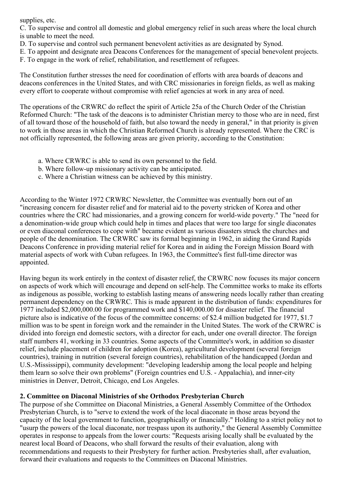supplies, etc.

C. To supervise and control all domestic and global emergency relief in such areas where the local church is unable to meet the need.

- D. To supervise and control such permanent benevolent activities as are designated by Synod.
- E. To appoint and designate area Deacons Conferences for the management of special benevolent projects.
- F. To engage in the work of relief, rehabilitation, and resettlement of refugees.

The Constitution further stresses the need for coordination of efforts with area boards of deacons and deacons conferences in the United States, and with CRC missionaries in foreign fields, as well as making every effort to cooperate without compromise with relief agencies at work in any area of need.

The operations of the CRWRC do reflect the spirit of Article 25a of the Church Order of the Christian Reformed Church: "The task of the deacons is to administer Christian mercy to those who are in need, first of all toward those of the household of faith, but also toward the needy in general," in that priority is given to work in those areas in which the Christian Reformed Church is already represented. Where the CRC is not officially represented, the following areas are given priority, according to the Constitution:

- a. Where CRWRC is able to send its own personnel to the field.
- b. Where follow-up missionary activity can be anticipated.
- c. Where a Christian witness can be achieved by this ministry.

According to the Winter 1972 CRWRC Newsletter, the Committee was eventually born out of an "increasing concern for disaster relief and for material aid to the poverty stricken of Korea and other countries where the CRC had missionaries, and a growing concern for world-wide poverty." The "need for a denomination-wide group which could help in times and places that were too large for single diaconates or even diaconal conferences to cope with" became evident as various disasters struck the churches and people of the denomination. The CRWRC saw its formal beginning in 1962, in aiding the Grand Rapids Deacons Conference in providing material relief for Korea and in aiding the Foreign Mission Board with material aspects of work with Cuban refugees. In 1963, the Committee's first full-time director was appointed.

Having begun its work entirely in the context of disaster relief, the CRWRC now focuses its major concern on aspects of work which will encourage and depend on self-help. The Committee works to make its efforts as indigenous as possible, working to establish lasting means of answering needs locally rather than creating permanent dependency on the CRWRC. This is made apparent in the distribution of funds: expenditures for 1977 included \$2,000,000.00 for programmed work and \$140,000.00 for disaster relief. The financial picture also is indicative of the focus of the committee concerns: of \$2.4 million budgeted for 1977, \$1.7 million was to be spent in foreign work and the remainder in the United States. The work of the CRWRC is divided into foreign end domestic sectors, with a director for each, under one overall director. The foreign staff numbers 41, working in 33 countries. Some aspects of the Committee's work, in addition so disaster relief, include placement of children for adoption (Korea), agricultural development (several foreign countries), training in nutrition (several foreign countries), rehabilitation of the handicapped (Jordan and U.S.-Mississippi), community development: "developing leadership among the local people and helping them learn so solve their own problems" (Foreign countries end U.S. - Appalachia), and inner-city ministries in Denver, Detroit, Chicago, end Los Angeles.

## **2. Committee on Diaconal Ministries of she Orthodox Presbyterian Church**

The purpose of she Committee on Diaconal Ministries, a General Assembly Committee of the Orthodox Presbyterian Church, is to "serve to extend the work of the local diaconate in those areas beyond the capacity of the local government to function, geographically or financially." Holding to a strict policy not to "usurp the powers of the local diaconate, nor trespass upon its authority," the General Assembly Committee operates in response to appeals from the lower courts: "Requests arising locally shall be evaluated by the nearest local Board of Deacons, who shall forward the results of their evaluation, along with recommendations and requests to their Presbytery for further action. Presbyteries shall, after evaluation, forward their evaluations and requests to the Committees on Diaconal Ministries.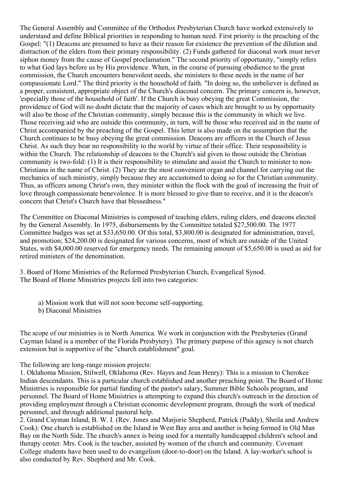The General Assembly and Committee of the Orthodox Presbyterian Church have worked extensively to understand and define Biblical priorities in responding to human need. First priority is the preaching of the Gospel: "(1) Deacons are presumed to have as their reason for existence the prevention of the dilution and distraction of the elders from their primary responsibility. (2) Funds gathered for diaconal work must never siphon money from the cause of Gospel proclamation." The second priority of opportunity, "simply refers to what God lays before us by His providence. When, in the course of pursuing obedience to the great commission, the Church encounters benevolent needs, she ministers to these needs in the name of her compassionate Lord." The third priority is the household of faith. "In doing so, the unbeliever is defined as a proper, consistent, appropriate object of the Church's diaconal concern. The primary concern is, however, 'especially those of the household of faith'. If the Church is busy obeying the great Commission, the providence of God will no doubt dictate that the majority of cases which are brought to us by opportunity will also be those of the Christian community, simply because this is the community in which we live. Those receiving aid who are outside this community, in turn, will be those who received aid in the name of Christ accompanied by the preaching of the Gospel. This letter is also made on the assumption that the Church continues to be busy obeying the great commission. Deacons are officers in the Church of Jesus Christ. As such they bear no responsibility to the world by virtue of their office. Their responsibility is within the Church. The relationship of deacons to the Church's aid given to those outside the Christian community is two-fold: (1) It is their responsibility to stimulate and assist the Church to minister to non-Christians in the name of Christ. (2) They are the most convenient organ and channel for carrying out the mechanics of such ministry, simply because they are accustomed to doing so for the Christian community. Thus, as officers among Christ's own, they minister within the flock with the goal of increasing the fruit of love through compassionate benevolence. It is more blessed to give than to receive, and it is the deacon's concern that Christ's Church have that blessedness."

The Committee on Diaconal Ministries is composed of teaching elders, ruling elders, end deacons elected by the General Assembly. In 1975, disbursements by the Committee totaled \$27,500.00. The 1977 Committee budges was set at \$33,650.00. Of this total, \$3,800.00 is designated for administration, travel, and promotion; \$24,200.00 is designated for various concerns, most of which are outside of the United States, with \$4,000.00 reserved for emergency needs. The remaining amount of \$5,650.00 is used as aid for retired ministers of the denomination.

3. Board of Home Ministries of the Reformed Presbyterian Church, Evangelical Synod. The Board of Home Ministries projects fell into two categories:

a) Mission work that will not soon become self-supporting.

b) Diaconal Ministries

The scope of our ministries is in North America. We work in conjunction with the Presbyteries (Grand Cayman Island is a member of the Florida Presbytery). The primary purpose of this agency is not church extension but is supportive of the "church establishment" goal.

The following are long-range mission projects:

1. Oklahoma Mission, Stilwell, Oklahoma (Rev. Hayes and Jean Henry): This is a mission to Cherokee Indian descendants. This is a particular church established and another preaching point. The Board of Home Ministries is responsible for partial funding of the pastor's salary, Summer Bible Schools program, and personnel. The Board of Home Ministries is attempting to expand this church's outreach in the direction of providing employment through a Christian economic development program, through the work of medical personnel, and through additional pastoral help.

2. Grand Cayman Island, B. W. I. (Rev. Jones and Marjorie Shepherd, Patrick (Paddy), Sheila and Andrew Cook): One church is established on the Island in West Bay area and another is being formed in Old Man Bay on the North Side. The church's annex is being used for a mentally handicapped children's school and therapy center. Mrs. Cook is the teacher, assisted by women of the church and community. Covenant College students have been used to do evangelism (door-to-door) on the Island. A lay-worker's school is also conducted by Rev. Shepherd and Mr. Cook.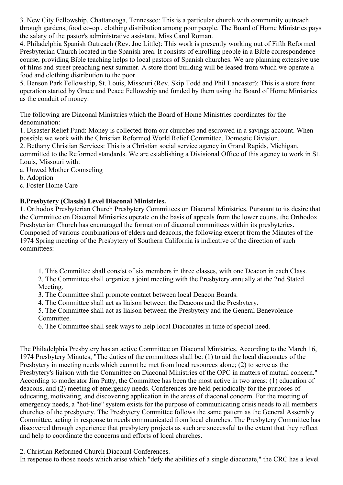3. New City Fellowship, Chattanooga, Tennessee: This is a particular church with community outreach through gardens, food co-op., clothing distribution among poor people. The Board of Home Ministries pays the salary of the pastor's administrative assistant, Miss Carol Roman.

4. Philadelphia Spanish Outreach (Rev. Joe Little): This work is presently working out of Fifth Reformed Presbyterian Church located in the Spanish area. It consists of enrolling people in a Bible correspondence course, providing Bible teaching helps to local pastors of Spanish churches. We are planning extensive use of films and street preaching next summer. A store front building will be leased from which we operate a food and clothing distribution to the poor.

5. Benson Park Fellowship, St. Louis, Missouri (Rev. Skip Todd and Phil Lancaster): This is a store front operation started by Grace and Peace Fellowship and funded by them using the Board of Home Ministries as the conduit of money.

The following are Diaconal Ministries which the Board of Home Ministries coordinates for the denomination:

1. Disaster Relief Fund: Money is collected from our churches and escrowed in a savings account. When possible we work with the Christian Reformed World Relief Committee, Domestic Division.

2. Bethany Christian Services: This is a Christian social service agency in Grand Rapids, Michigan, committed to the Reformed standards. We are establishing a Divisional Office of this agency to work in St. Louis, Missouri with:

a. Unwed Mother Counseling

b. Adoption

c. Foster Home Care

# **B.Presbytery (Classis) Level Diaconal Ministries.**

1. Orthodox Presbyterian Church Presbytery Committees on Diaconal Ministries. Pursuant to its desire that the Committee on Diaconal Ministries operate on the basis of appeals from the lower courts, the Orthodox Presbyterian Church has encouraged the formation of diaconal committees within its presbyteries. Composed of various combinations of elders and deacons, the following excerpt from the Minutes of the 1974 Spring meeting of the Presbytery of Southern California is indicative of the direction of such committees:

1. This Committee shall consist of six members in three classes, with one Deacon in each Class.

2. The Committee shall organize a joint meeting with the Presbytery annually at the 2nd Stated Meeting.

3. The Committee shall promote contact between local Deacon Boards.

4. The Committee shall act as liaison between the Deacons and the Presbytery.

5. The Committee shall act as liaison between the Presbytery and the General Benevolence Committee.

6. The Committee shall seek ways to help local Diaconates in time of special need.

The Philadelphia Presbytery has an active Committee on Diaconal Ministries. According to the March 16, 1974 Presbytery Minutes, "The duties of the committees shall be: (1) to aid the local diaconates of the Presbytery in meeting needs which cannot be met from local resources alone; (2) to serve as the Presbytery's liaison with the Committee on Diaconal Ministries of the OPC in matters of mutual concern." According to moderator Jim Patty, the Committee has been the most active in two areas: (1) education of deacons, and (2) meeting of emergency needs. Conferences are held periodically for the purposes of educating, motivating, and discovering application in the areas of diaconal concern. For the meeting of emergency needs, a "hot-line" system exists for the purpose of communicating crisis needs to all members churches of the presbytery. The Presbytery Committee follows the same pattern as the General Assembly Committee, acting in response to needs communicated from local churches. The Presbytery Committee has discovered through experience that presbytery projects as such are successful to the extent that they reflect and help to coordinate the concerns and efforts of local churches.

2. Christian Reformed Church Diaconal Conferences.

In response to those needs which arise which "defy the abilities of a single diaconate," the CRC has a level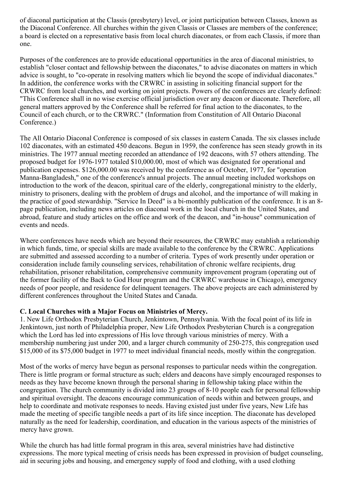of diaconal participation at the Classis (presbytery) level, or joint participation between Classes, known as the Diaconal Conference. All churches within the given Classis or Classes are members of the conference; a board is elected on a representative basis from local church diaconates, or from each Classis, if more than one.

Purposes of the conferences are to provide educational opportunities in the area of diaconal ministries, to establish "closer contact and fellowship between the diaconates," to advise diaconates on matters in which advice is sought, to "co-operate in resolving matters which lie beyond the scope of individual diaconates." In addition, the conference works with the CRWRC in assisting in soliciting financial support for the CRWRC from local churches, and working on joint projects. Powers of the conferences are clearly defined: "This Conference shall in no wise exercise official jurisdiction over any deacon or diaconate. Therefore, all general matters approved by the Conference shall be referred for final action to the diaconates, to the Council of each church, or to the CRWRC." (Information from Constitution of All Ontario Diaconal Conference.)

The All Ontario Diaconal Conference is composed of six classes in eastern Canada. The six classes include 102 diaconates, with an estimated 450 deacons. Begun in 1959, the conference has seen steady growth in its ministries. The 1977 annual meeting recorded an attendance of 192 deacons, with 57 others attending. The proposed budget for 1976-1977 totaled \$10,000.00, most of which was designated for operational and publication expenses. \$126,000.00 was received by the conference as of October, 1977, for "operation Manna-Bangladesh," one of the conference's annual projects. The annual meeting included workshops on introduction to the work of the deacon, spiritual care of the elderly, congregational ministry to the elderly, ministry to prisoners, dealing with the problem of drugs and alcohol, and the importance of will making in the practice of good stewardship. "Service In Deed" is a bi-monthly publication of the conference. It is an 8 page publication, including news articles on diaconal work in the local church in the United States, and abroad, feature and study articles on the office and work of the deacon, and "in-house" communication of events and needs.

Where conferences have needs which are beyond their resources, the CRWRC may establish a relationship in which funds, time, or special skills are made available to the conference by the CRWRC. Applications are submitted and assessed according to a number of criteria. Types of work presently under operation or consideration include family counseling services, rehabilitation of chronic welfare recipients, drug rehabilitation, prisoner rehabilitation, comprehensive community improvement program (operating out of the former facility of the Back to God Hour program and the CRWRC warehouse in Chicago), emergency needs of poor people, and residence for delinquent teenagers. The above projects are each administered by different conferences throughout the United States and Canada.

# **C. Local Churches with a Major Focus on Ministries of Mercy.**

1. New Life Orthodox Presbyterian Church, Jenkintown, Pennsylvania. With the focal point of its life in Jenkintown, just north of Philadelphia proper, New Life Orthodox Presbyterian Church is a congregation which the Lord has led into expressions of His love through various ministries of mercy. With a membership numbering just under 200, and a larger church community of 250-275, this congregation used \$15,000 of its \$75,000 budget in 1977 to meet individual financial needs, mostly within the congregation.

Most of the works of mercy have begun as personal responses to particular needs within the congregation. There is little program or formal structure as such; elders and deacons have simply encouraged responses to needs as they have become known through the personal sharing in fellowship taking place within the congregation. The church community is divided into 23 groups of 8-10 people each for personal fellowship and spiritual oversight. The deacons encourage communication of needs within and between groups, and help to coordinate and motivate responses to needs. Having existed just under five years, New Life has made the meeting of specific tangible needs a part of its life since inception. The diaconate has developed naturally as the need for leadership, coordination, and education in the various aspects of the ministries of mercy have grown.

While the church has had little formal program in this area, several ministries have had distinctive expressions. The more typical meeting of crisis needs has been expressed in provision of budget counseling, aid in securing jobs and housing, and emergency supply of food and clothing, with a used clothing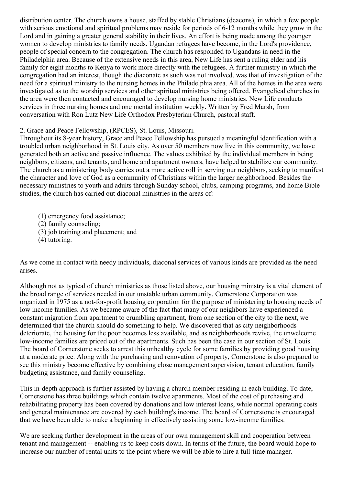distribution center. The church owns a house, staffed by stable Christians (deacons), in which a few people with serious emotional and spiritual problems may reside for periods of 6-12 months while they grow in the Lord and in gaining a greater general stability in their lives. An effort is being made among the younger women to develop ministries to family needs. Ugandan refugees have become, in the Lord's providence, people of special concern to the congregation. The church has responded to Ugandans in need in the Philadelphia area. Because of the extensive needs in this area, New Life has sent a ruling elder and his family for eight months to Kenya to work more directly with the refugees. A further ministry in which the congregation had an interest, though the diaconate as such was not involved, was that of investigation of the need for a spiritual ministry to the nursing homes in the Philadelphia area. All of the homes in the area were investigated as to the worship services and other spiritual ministries being offered. Evangelical churches in the area were then contacted and encouraged to develop nursing home ministries. New Life conducts services in three nursing homes and one mental institution weekly. Written by Fred Marsh, from conversation with Ron Lutz New Life Orthodox Presbyterian Church, pastoral staff.

## 2. Grace and Peace Fellowship, (RPCES), St. Louis, Missouri.

Throughout its 8-year history, Grace and Peace Fellowship has pursued a meaningful identification with a troubled urban neighborhood in St. Louis city. As over 50 members now live in this community, we have generated both an active and passive influence. The values exhibited by the individual members in being neighbors, citizens, and tenants, and home and apartment owners, have helped to stabilize our community. The church as a ministering body carries out a more active roll in serving our neighbors, seeking to manifest the character and love of God as a community of Christians within the larger neighborhood. Besides the necessary ministries to youth and adults through Sunday school, clubs, camping programs, and home Bible studies, the church has carried out diaconal ministries in the areas of:

(1) emergency food assistance; (2) family counseling; (3) job training and placement; and (4) tutoring.

As we come in contact with needy individuals, diaconal services of various kinds are provided as the need arises.

Although not as typical of church ministries as those listed above, our housing ministry is a vital element of the broad range of services needed in our unstable urban community. Cornerstone Corporation was organized in 1975 as a not-for-profit housing corporation for the purpose of ministering to housing needs of low income families. As we became aware of the fact that many of our neighbors have experienced a constant migration from apartment to crumbling apartment, from one section of the city to the next, we determined that the church should do something to help. We discovered that as city neighborhoods deteriorate, the housing for the poor becomes less available, and as neighborhoods revive, the unwelcome low-income families are priced out of the apartments. Such has been the case in our section of St. Louis. The board of Cornerstone seeks to arrest this unhealthy cycle for some families by providing good housing at a moderate price. Along with the purchasing and renovation of property, Cornerstone is also prepared to see this ministry become effective by combining close management supervision, tenant education, family budgeting assistance, and family counseling.

This in-depth approach is further assisted by having a church member residing in each building. To date, Cornerstone has three buildings which contain twelve apartments. Most of the cost of purchasing and rehabilitating property has been covered by donations and low interest loans, while normal operating costs and general maintenance are covered by each building's income. The board of Cornerstone is encouraged that we have been able to make a beginning in effectively assisting some low-income families.

We are seeking further development in the areas of our own management skill and cooperation between tenant and management -- enabling us to keep costs down. In terms of the future, the board would hope to increase our number of rental units to the point where we will be able to hire a full-time manager.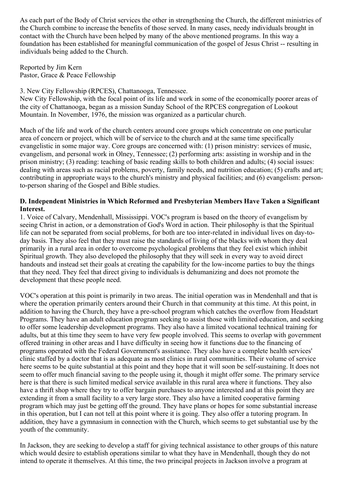As each part of the Body of Christ services the other in strengthening the Church, the different ministries of the Church combine to increase the benefits of those served. In many cases, needy individuals brought in contact with the Church have been helped by many of the above mentioned programs. In this way a foundation has been established for meaningful communication of the gospel of Jesus Christ -- resulting in individuals being added to the Church.

Reported by Jim Kern Pastor, Grace & Peace Fellowship

3. New City Fellowship (RPCES), Chattanooga, Tennessee.

New City Fellowship, with the focal point of its life and work in some of the economically poorer areas of the city of Chattanooga, began as a mission Sunday School of the RPCES congregation of Lookout Mountain. In November, 1976, the mission was organized as a particular church.

Much of the life and work of the church centers around core groups which concentrate on one particular area of concern or project, which will be of service to the church and at the same time specifically evangelistic in some major way. Core groups are concerned with: (1) prison ministry: services of music, evangelism, and personal work in Olney, Tennessee; (2) performing arts: assisting in worship and in the prison ministry; (3) reading: teaching of basic reading skills to both children and adults; (4) social issues: dealing with areas such as racial problems, poverty, family needs, and nutrition education; (5) crafts and art; contributing in appropriate ways to the church's ministry and physical facilities; and (6) evangelism: personto-person sharing of the Gospel and Bible studies.

## **D. Independent Ministries in Which Reformed and Presbyterian Members Have Taken a Significant Interest.**

1. Voice of Calvary, Mendenhall, Mississippi. VOC's program is based on the theory of evangelism by seeing Christ in action, or a demonstration of God's Word in action. Their philosophy is that the Spiritual life can not be separated from social problems, for both are too inter-related in individual lives on day-today basis. They also feel that they must raise the standards of living of the blacks with whom they deal primarily in a rural area in order to overcome psychological problems that they feel exist which inhibit Spiritual growth. They also developed the philosophy that they will seek in every way to avoid direct handouts and instead set their goals at creating the capability for the low-income parties to buy the things that they need. They feel that direct giving to individuals is dehumanizing and does not promote the development that these people need.

VOC's operation at this point is primarily in two areas. The initial operation was in Mendenhall and that is where the operation primarily centers around their Church in that community at this time. At this point, in addition to having the Church, they have a pre-school program which catches the overflow from Headstart Programs. They have an adult education program seeking to assist those with limited education, and seeking to offer some leadership development programs. They also have a limited vocational technical training for adults, but at this time they seem to have very few people involved. This seems to overlap with government offered training in other areas and I have difficulty in seeing how it functions due to the financing of programs operated with the Federal Government's assistance. They also have a complete health services' clinic staffed by a doctor that is as adequate as most clinics in rural communities. Their volume of service here seems to be quite substantial at this point and they hope that it will soon be self-sustaining. It does not seem to offer much financial saving to the people using it, though it might offer some. The primary service here is that there is such limited medical service available in this rural area where it functions. They also have a thrift shop where they try to offer bargain purchases to anyone interested and at this point they are extending it from a small facility to a very large store. They also have a limited cooperative farming program which may just be getting off the ground. They have plans or hopes for some substantial increase in this operation, but I can not tell at this point where it is going. They also offer a tutoring program. In addition, they have a gymnasium in connection with the Church, which seems to get substantial use by the youth of the community.

In Jackson, they are seeking to develop a staff for giving technical assistance to other groups of this nature which would desire to establish operations similar to what they have in Mendenhall, though they do not intend to operate it themselves. At this time, the two principal projects in Jackson involve a program at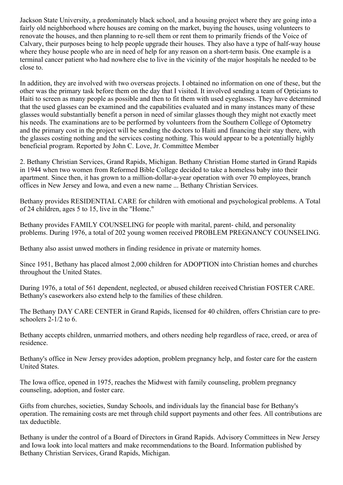Jackson State University, a predominately black school, and a housing project where they are going into a fairly old neighborhood where houses are coming on the market, buying the houses, using volunteers to renovate the houses, and then planning to re-sell them or rent them to primarily friends of the Voice of Calvary, their purposes being to help people upgrade their houses. They also have a type of half-way house where they house people who are in need of help for any reason on a short-term basis. One example is a terminal cancer patient who had nowhere else to live in the vicinity of the major hospitals he needed to be close to.

In addition, they are involved with two overseas projects. I obtained no information on one of these, but the other was the primary task before them on the day that I visited. It involved sending a team of Opticians to Haiti to screen as many people as possible and then to fit them with used eyeglasses. They have determined that the used glasses can be examined and the capabilities evaluated and in many instances many of these glasses would substantially benefit a person in need of similar glasses though they might not exactly meet his needs. The examinations are to be performed by volunteers from the Southern College of Optometry and the primary cost in the project will be sending the doctors to Haiti and financing their stay there, with the glasses costing nothing and the services costing nothing. This would appear to be a potentially highly beneficial program. Reported by John C. Love, Jr. Committee Member

2. Bethany Christian Services, Grand Rapids, Michigan. Bethany Christian Home started in Grand Rapids in 1944 when two women from Reformed Bible College decided to take a homeless baby into their apartment. Since then, it has grown to a million-dollar-a-year operation with over 70 employees, branch offices in New Jersey and Iowa, and even a new name ... Bethany Christian Services.

Bethany provides RESIDENTIAL CARE for children with emotional and psychological problems. A Total of 24 children, ages 5 to 15, live in the "Home."

Bethany provides FAMILY COUNSELING for people with marital, parent- child, and personality problems. During 1976, a total of 202 young women received PROBLEM PREGNANCY COUNSELING.

Bethany also assist unwed mothers in finding residence in private or maternity homes.

Since 1951, Bethany has placed almost 2,000 children for ADOPTION into Christian homes and churches throughout the United States.

During 1976, a total of 561 dependent, neglected, or abused children received Christian FOSTER CARE. Bethany's caseworkers also extend help to the families of these children.

The Bethany DAY CARE CENTER in Grand Rapids, licensed for 40 children, offers Christian care to preschoolers 2-1/2 to 6.

Bethany accepts children, unmarried mothers, and others needing help regardless of race, creed, or area of residence.

Bethany's office in New Jersey provides adoption, problem pregnancy help, and foster care for the eastern United States.

The Iowa office, opened in 1975, reaches the Midwest with family counseling, problem pregnancy counseling, adoption, and foster care.

Gifts from churches, societies, Sunday Schools, and individuals lay the financial base for Bethany's operation. The remaining costs are met through child support payments and other fees. All contributions are tax deductible.

Bethany is under the control of a Board of Directors in Grand Rapids. Advisory Committees in New Jersey and Iowa look into local matters and make recommendations to the Board. Information published by Bethany Christian Services, Grand Rapids, Michigan.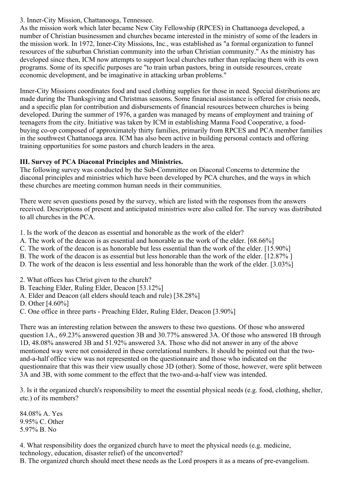# 3. Inner-City Mission, Chattanooga, Tennessee.

As the mission work which later became New City Fellowship (RPCES) in Chattanooga developed, a number of Christian businessmen and churches became interested in the ministry of some of the leaders in the mission work. In 1972, Inner-City Missions, Inc., was established as "a formal organization to funnel resources of the suburban Christian community into the urban Christian community." As the ministry has developed since then, ICM now attempts to support local churches rather than replacing them with its own programs. Some of its specific purposes are "to train urban pastors, bring in outside resources, create economic development, and be imaginative in attacking urban problems."

Inner-City Missions coordinates food and used clothing supplies for those in need. Special distributions are made during the Thanksgiving and Christmas seasons. Some financial assistance is offered for crisis needs, and a specific plan for contribution and disbursements of financial resources between churches is being developed. During the summer of 1976, a garden was managed by means of employment and training of teenagers from the city. Initiative was taken by ICM in establishing Manna Food Cooperative, a foodbuying co-op composed of approximately thirty families, primarily from RPCES and PCA member families in the southwest Chattanooga area. ICM has also been active in building personal contacts and offering training opportunities for some pastors and church leaders in the area.

# **III. Survey of PCA Diaconal Principles and Ministries.**

The following survey was conducted by the Sub-Committee on Diaconal Concerns to determine the diaconal principles and ministries which have been developed by PCA churches, and the ways in which these churches are meeting common human needs in their communities.

There were seven questions posed by the survey, which are listed with the responses from the answers received. Descriptions of present and anticipated ministries were also called for. The survey was distributed to all churches in the PCA.

1. Is the work of the deacon as essential and honorable as the work of the elder?

- A. The work of the deacon is as essential and honorable as the work of the elder. [68.66%]
- C. The work of the deacon is as honorable but less essential than the work of the elder. [15.90%]
- B. The work of the deacon is as essential but less honorable than the work of the elder. [12.87% ]
- D. The work of the deacon is less essential and less honorable than the work of the elder. [3.03%]
- 2. What offices has Christ given to the church?
- B. Teaching Elder, Ruling Elder, Deacon [53.12%]
- A. Elder and Deacon (all elders should teach and rule) [38.28%]
- D. Other [4.60%]
- C. One office in three parts Preaching Elder, Ruling Elder, Deacon [3.90%]

There was an interesting relation between the answers to these two questions. Of those who answered question 1A., 69.23% answered question 3B and 30.77% answered 3A. Of those who answered 1B through 1D, 48.08% answered 3B and 51.92% answered 3A. Those who did not answer in any of the above mentioned way were not considered in these correlational numbers. It should be pointed out that the twoand-a-half office view was not represented on the questionnaire and those who indicated on the questionnaire that this was their view usually chose 3D (other). Some of those, however, were split between 3A and 3B, with some comment to the effect that the two-and-a-half view was intended.

3. Is it the organized church's responsibility to meet the essential physical needs (e.g. food, clothing, shelter, etc.) of its members?

84.08% A. Yes 9.95% C. Other 5.97% B. No

4. What responsibility does the organized church have to meet the physical needs (e.g. medicine, technology, education, disaster relief) of the unconverted?

B. The organized church should meet these needs as the Lord prospers it as a means of pre-evangelism.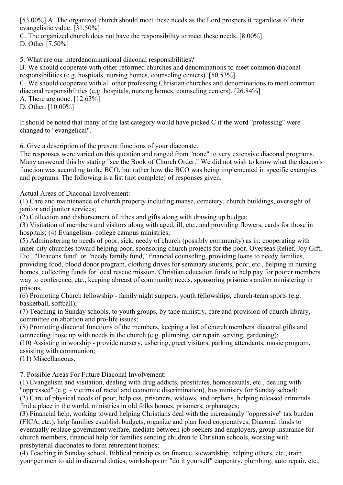[53.00%] A. The organized church should meet these needs as the Lord prospers it regardless of their evangelistic value. [31.50%]

C. The organized church does not have the responsibility to meet these needs. [8.00%]

D. Other [7.50%]

5. What are our interdenominational diaconal responsibilities?

B. We should cooperate with other reformed churches and denominations to meet common diaconal responsibilities (e.g. hospitals, nursing homes, counseling centers). [50.53%]

C. We should cooperate with all other professing Christian churches and denominations to meet common diaconal responsibilities (e.g. hospitals, nursing homes, counseling centers). [26.84%]

A. There are none. [12.63%]

D. Other. [10.00%]

It should be noted that many of the last category would have picked C if the word "professing" were changed to "evangelical".

6. Give a description of the present functions of your diaconate.

The responses were varied on this question and ranged from "none" to very extensive diaconal programs. Many answered this by stating "see the Book of Church Order." We did not wish to know what the deacon's function was according to the BCO, but rather how the BCO was being implemented in specific examples and programs. The following is a list (not complete) of responses given.

Actual Areas of Diaconal Involvement:

(1) Care and maintenance of church property including manse, cemetery, church buildings, oversight of janitor and janitor services;

(2) Collection and disbursement of tithes and gifts along with drawing up budget;

(3) Visitation of members and visitors along with aged, ill, etc., and providing flowers, cards for those in hospitals; (4) Evangelism-college campus ministries;

(5) Administering to needs of poor, sick, needy of church (possibly community) as in: cooperating with inner-city churches toward helping poor, sponsoring church projects for the poor, Overseas Relief, Joy Gift, Etc., "Deacons fund" or "needy family fund," financial counseling, providing loans to needy families, providing food, blood donor program, clothing drives for seminary students, poor, etc., helping in nursing homes, collecting funds for local rescue mission, Christian education funds to help pay for poorer members' way to conference, etc., keeping abreast of community needs, sponsoring prisoners and/or ministering in prisons;

(6) Promoting Church fellowship - family night suppers, youth fellowships, church-team sports (e.g. basketball, softball);

(7) Teaching in Sunday schools, to youth groups, by tape ministry, care and provision of church library, committee on abortion and pro-life issues;

(8) Promoting diaconal functions of the members, keeping a list of church members' diaconal gifts and connecting those up with needs in the church (e.g. plumbing, car repair, serving, gardening);

(10) Assisting in worship - provide nursery, ushering, greet visitors, parking attendants, music program, assisting with communion;

(11) Miscellaneous.

7. Possible Areas For Future Diaconal Involvement:

(1) Evangelism and visitation, dealing with drug addicts, prostitutes, homosexuals, etc., dealing with "oppressed" (e.g. - victims of racial and economic discrimination), bus ministry for Sunday school; (2) Care of physical needs of poor, helpless, prisoners, widows, and orphans, helping released criminals find a place in the world, ministries in old folks homes, prisoners, orphanages;

(3) Financial help, working toward helping Christians deal with the increasingly "oppressive" tax burden (FICA, etc.), help families establish budgets, organize and plan food cooperatives, Diaconal funds to eventually replace government welfare, mediate between job seekers and employers, group insurance for church members, financial help for families sending children to Christian schools, working with presbyterial diaconates to form retirement homes;

(4) Teaching in Sunday school, Biblical principles on finance, stewardship, helping others, etc., train younger men to aid in diaconal duties, workshops on "do it yourself" carpentry, plumbing, auto repair, etc.,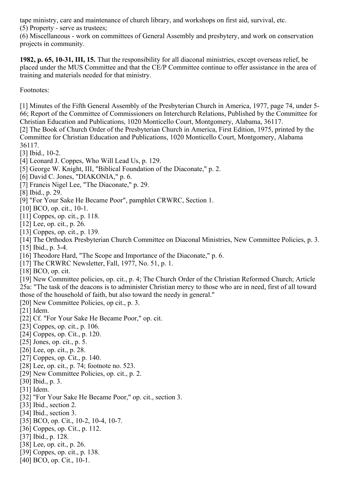tape ministry, care and maintenance of church library, and workshops on first aid, survival, etc. (5) Property - serve as trustees;

(6) Miscellaneous - work on committees of General Assembly and presbytery, and work on conservation projects in community.

**1982, p. 65, 10-31, III, 15.** That the responsibility for all diaconal ministries, except overseas relief, be placed under the MUS Committee and that the CE/P Committee continue to offer assistance in the area of training and materials needed for that ministry.

Footnotes:

<span id="page-16-0"></span>[1] Minutes of the Fifth General Assembly of the Presbyterian Church in America, 1977, page 74, under 5-66; Report of the Committee of Commissioners on Interchurch Relations, Published by the Committee for Christian Education and Publications, 1020 Monticello Court, Montgomery, Alabama, 36117.

<span id="page-16-1"></span>[2] The Book of Church Order of the Presbyterian Church in America, First Edition, 1975, printed by the Committee for Christian Education and Publications, 1020 Monticello Court, Montgomery, Alabama 36117.

<span id="page-16-2"></span>[3] Ibid., 10-2.

- <span id="page-16-3"></span>[4] Leonard J. Coppes, Who Will Lead Us, p. 129.
- <span id="page-16-4"></span>[5] George W. Knight, III, "Biblical Foundation of the Diaconate," p. 2.
- <span id="page-16-5"></span>[6] David C. Jones, "DIAKONIA," p. 6.
- <span id="page-16-6"></span>[7] Francis Nigel Lee, "The Diaconate," p. 29.

<span id="page-16-7"></span>[8] Ibid., p. 29.

- <span id="page-16-8"></span>[9] "For Your Sake He Became Poor", pamphlet CRWRC, Section 1.
- <span id="page-16-9"></span>[10] BCO, op. cit., 10-1.
- <span id="page-16-10"></span>[11] Coppes, op. cit., p. 118.
- <span id="page-16-11"></span>[12] Lee, op. cit., p. 26.
- <span id="page-16-12"></span>[13] Coppes, op. cit., p. 139.
- <span id="page-16-13"></span>[14] The Orthodox Presbyterian Church Committee on Diaconal Ministries, New Committee Policies, p. 3.

<span id="page-16-14"></span>[15] Ibid., p. 3-4.

- <span id="page-16-15"></span>[16] Theodore Hard, "The Scope and Importance of the Diaconate," p. 6.
- <span id="page-16-16"></span>[17] The CRWRC Newsletter, Fall, 1977, No. 51, p. 1.

<span id="page-16-17"></span>[18] BCO, op. cit.

<span id="page-16-18"></span>[19] New Committee policies, op. cit., p. 4; The Church Order of the Christian Reformed Church; Article 25a: "The task of the deacons is to administer Christian mercy to those who are in need, first of all toward those of the household of faith, but also toward the needy in general."

<span id="page-16-19"></span>[20] New Committee Policies, op cit., p. 3.

<span id="page-16-20"></span>[21] Idem.

- <span id="page-16-21"></span>[22] Cf. "For Your Sake He Became Poor," op. cit.
- <span id="page-16-22"></span>[23] Coppes, op. cit., p. 106.
- <span id="page-16-23"></span>[24] Coppes, op. Cit., p. 120.
- <span id="page-16-24"></span>[25] Jones, op. cit., p. 5.
- <span id="page-16-25"></span>[26] Lee, op. cit., p. 28.
- <span id="page-16-26"></span>[27] Coppes, op. Cit., p. 140.
- <span id="page-16-27"></span>[28] Lee, op. cit., p. 74; footnote no. 523.
- <span id="page-16-28"></span>[29] New Committee Policies, op. cit., p. 2.
- <span id="page-16-29"></span>[30] Ibid., p. 3.
- <span id="page-16-30"></span>[31] Idem.
- <span id="page-16-31"></span>[32] "For Your Sake He Became Poor," op. cit., section 3.
- <span id="page-16-32"></span>[33] Ibid., section 2.
- <span id="page-16-33"></span>[34] Ibid., section 3.
- <span id="page-16-34"></span>[35] BCO, op. Cit., 10-2, 10-4, 10-7.
- <span id="page-16-35"></span>[36] Coppes, op. Cit., p. 112.
- <span id="page-16-36"></span>[37] Ibid., p. 128.
- <span id="page-16-37"></span>[38] Lee, op. cit., p. 26.
- <span id="page-16-38"></span>[39] Coppes, op. cit., p. 138.
- <span id="page-16-39"></span>[40] BCO, op. Cit., 10-1.